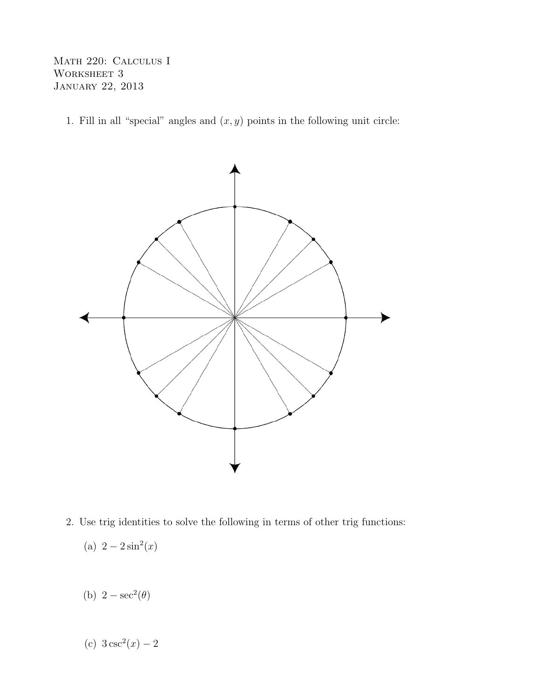Math 220: Calculus I WORKSHEET 3 January 22, 2013

1. Fill in all "special" angles and  $(x, y)$  points in the following unit circle:



- 2. Use trig identities to solve the following in terms of other trig functions:
	- (a)  $2 2\sin^2(x)$
	- (b)  $2 \sec^2(\theta)$
	- (c)  $3 \csc^2(x) 2$